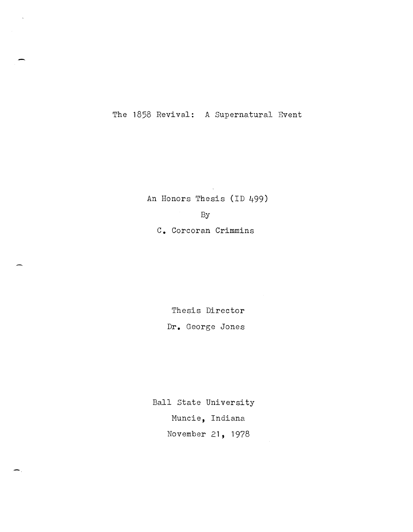The 1858 Revival: A Supernatural Event

An Honors Thesis (ID 499)

By

**C.** Corcoran Crimmins

Thesis Director **Dr.** George Jones

Ball State University Muncie, Indiana November **21,** 1978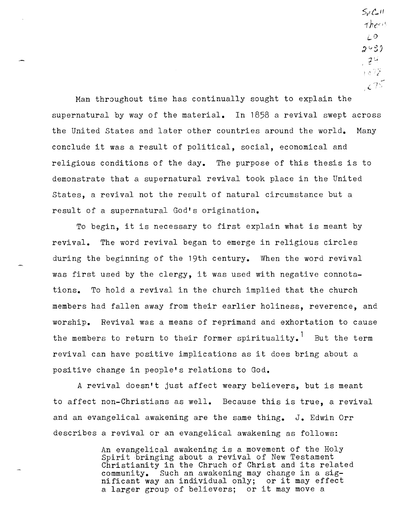5,} *t.o"*   $The$ *LO*   $2$   $9$  $, 24$ 5 o 7 X  $C25$ 

Man throughout time has continually sought to explain the supernatural by way of the material. In 1858 a revival swept across the United States and later other countries around the world. Many conclude it was a result of political, social, economical and religious conditions of the day. The purpose of this thesis is to demonstrate that a supernatural revival took place in the United states, a revival not the result of natural circumstance but a result of a supernatural God's origination.

To begin, it is necessary to first explain what is meant by revival. The word revival began to emerge in religious circles during the beginning of the 19th century. When the word revival was first used by the clergy, it was used with negative connotations. To hold a revival in the church implied that the church members had fallen away from their earlier holiness, reverence, and worship. Revival was a means of reprimand and exhortation to cause the members to return to their former spirituality.<sup>1</sup> But the term revival can have positive implications as it does bring about a positive change in people's relations to God.

A revival doesn't just affect weary believers, but is meant to affect non-Christians as well. Because this is true, a revival and an evangelical awakening are the same thing. **J.** Edwin Orr describes a revival or an evangelical awakening as follows:

> An evangelical awakening is a movement of the Holy An composition awarehing is a movement of the new Christianity in the Chruch of Christ and its related community. Such an awakening may change in a sig- nificant wayan individual only; or it may effect a larger group of believers; or it may move a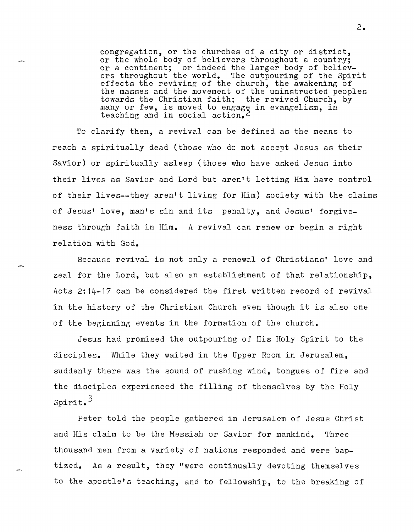congregation, or the churches of a city or district, or the whole body of believers throughout a country; or a continent; or indeed the larger body of believers throughout the world. The outpouring of the Spirit effects the reviving of the church, the awakening of the masses and the movement of the uninstructed peoples towards the Christian faith; the revived Church, by many or few, is moved to engage in evangelism, in teaching and in social action.<sup>2</sup>

To clarify then, a revival can be defined as the means to reach a spiritually dead (those who do not accept Jesus as their Savior) or spiritually asleep (those who have asked Jesus into their lives as Savior and Lord but aren't letting Him have control of their lives--they aren't living for Him) society with the claims of Jesus' love, man's sin and its penalty, and Jesus' forgiveness through faith in Him. A revival can renew or begin a right relation with God.

Because revival is not only a renewal of Christians' love and zeal for the Lord, but also an establishment of that relationship, Acts 2:14-17 can be considered the first written record of revival in the history of the Christian Church even though it is also one of the beginning events in the formation of the church.

Jesus had promised the outpouring of His Holy Spirit to the disciples. While they waited in the Upper *Room* in Jerusalem, suddenly there was the sound of rushing wind, tongues of fire and the disciples experienced the filling of themselves by the Holy Spirit. 3

Peter told the people gathered in Jerusalem of Jesus Christ and His claim to be the Messiah or Savior for mankind. Three thousand men from a variety of nations responded and were baptized. As a result, they "were continually devoting themselves to the apostle's teaching, and to fellowship, to the breaking of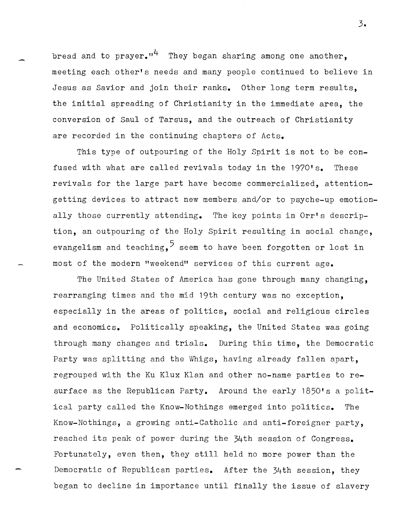bread and to prayer.<sup> $n^4$ </sup> They began sharing among one another, meeting each other's needs and many people continued to believe in Jesus as Savior and join their ranks. Other long term results, the initial spreading of Christianity in the immediate area, the conversion of Saul of Tarsus, and the outreach of Christianity are recorded in the continuing chapters of Acts.

This type of outpouring of the Holy Spirit is not to be confused with what are called revivals today in the 1970's. These revivals for the large part have become commercialized, attentiongetting devices to attract new members and/or to psyche-up emotionally those currently attending. The key points in Orr's description, an outpouring of the Holy Spirit resulting in social change, evangelism and teaching,  $5$  seem to have been forgotten or lost in most of the modern "weekend" services of this current age.

The United States of America has gone through many changing, rearranging times and the mid 19th century was no exception, especially in the areas of politics, social and religious circles and economics. Politically speaking, the United States was going through many changes and trials. During this time, the Democratic Party was splitting and the Whigs, having already fallen apart, regrouped with the Ku Klux Klan and other no-name parties to resurface as the Republican Party. Around the early 1850's a political party called the Know-Nothings emerged into politics. The Know-Nothings, a growing anti-Catholic and anti-foreigner party, reached its peak of power during the 34th session of Congress. Fortunately, even then, they still held no more power than the Democratic of Republican parties. After the 34th session, they began to decline in importance until finally the issue of slavery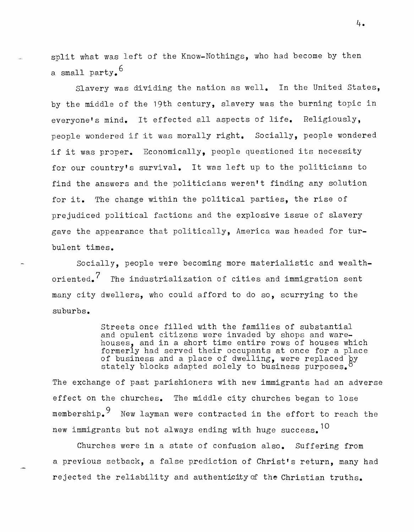split what was left of the Know-Nothings, who had become by then a small party.<sup>6</sup>

Slavery was dividing the nation as well. In the United States, by the middle of the 19th century, slavery was the burning topic in everyone's mind. It effected all aspects of life. Religiously, people wondered if it was morally right. Socially, people wondered if it was proper. Economically, people questioned its necessity for our country's survival. It was left up to the politicians to find the answers and the politicians weren't finding any solution for it. The change within the political parties, the rise of prejudiced political factions and the explosive issue of slavery gave the appearance that politically, America was headed for turbulent times.

Socially, people were becoming more materialistic and wealthoriented.<sup>7</sup> The industrialization of cities and immigration sent many city dwellers, who could afford to do so, scurrying to the suburbs.

> Streets once filled with the families of substantial and opulent citizens were invaded by shops and warehouses, and in a short time entire rows of houses which formerly had served their occupants at once for a place of business and a place of dwelling, were replaced by stately blocks adapted solely to business purposes.<sup>8</sup>

The exchange of past parishioners with new immigrants had an adverse effect on the churches. The middle city churches began to lose membership.<sup>9</sup> New layman were contracted in the effort to reach the new immigrants but not always ending with huge success.  $10$ 

Churches were in a state of confusion also. Suffering from a previous setback, a false prediction of Christ's return, many had rejected the reliability and authenticity of the Christian truths.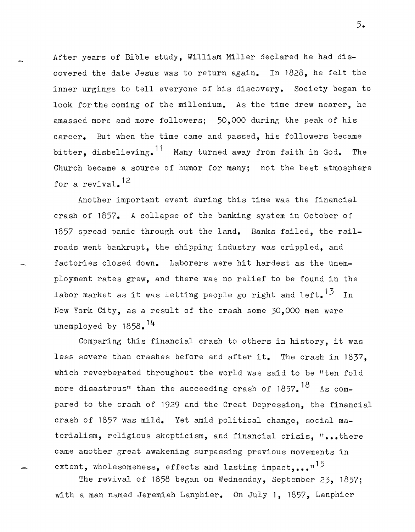After years of Bible study, William Miller declared he had discovered the date Jesus was to return again. In 1828, he felt the inner urgings to tell everyone of his discovery. Society began to look for the coming of the millenium. As the time drew nearer, he amassed more and more followers; 50,000 during the peak of his career. But when the time came and passed, his followers became bitter, disbelieving.<sup>11</sup> Many turned away from faith in God. The Church became a source of humor for many; not the best atmosphere for a revival. 12

Another important event during this time was the financial crash of 1857. A collapse of the banking system in October of 1857 spread panic through out the land. Banks failed, the railroads went bankrupt, the shipping industry was crippled, and factories closed down. Laborers were hit hardest as the unemployment rates grew, and there was no relief to be found in the labor market as it was letting people go right and left.<sup>13</sup> In New York City, as a result of the crash some 30,000 men were unemployed by 1858.<sup>14</sup>

Comparing this financial crash to others in history, it was less severe than crashes before and after it. The crash in 1837, which reverberated throughout the world was said to be "ten fold more disastrous" than the succeeding crash of  $1857$ .  $^{18}$  As compared to the crash of 1929 and the Great Depression, the financial crash of 1857 was mild. Yet amid political change, social materialism, religious skepticism, and financial crisis. "...there came another great awakening surpassing previous movements in extent, wholesomeness, effects and lasting impact,... $n^{15}$ 

The revival of 1858 began on Wednesday, September 23, 1857; with a man named Jeremiah Lanphier. On July 1, 1857, Lanphier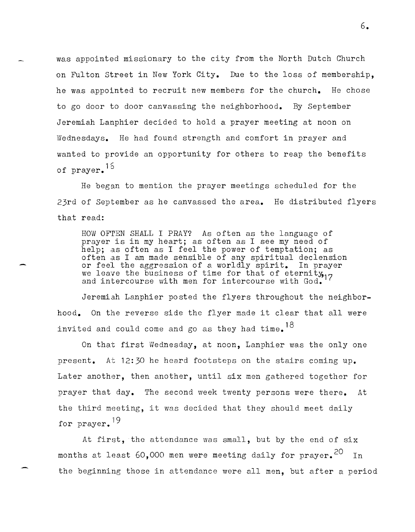was appointed missionary to the city from the North Dutch Church on Fulton street in New York City. Due to the loss of membership, he was appointed to recruit new members for the church. He chose to go door to door canvassing the neighborhood. By September Jeremiah Lanphier decided to hold a prayer meeting at noon on Wednesdays. He had found strength and comfort in prayer and wanted to provide an opportunity for others to reap the benefits of prayer.  $15$ 

He began to mention the prayer meetings scheduled for the 23rd of September as he canvassed the area. He distributed flyers that read:

HOW OF'rEN SHALL I PRAY? As often as the language of prayer is in my heart; as often as I see my need of help; as often as I feel the power of temptation; as often as I am made sensible of any spiritual declension or feel the aggression of a worldly spirit. In prayer we leave the business of time for that of eternity, we reave the business of time for that of eternity, 17 and intercourse with men for intercourse with God.

Jeremiah Lanphier posted the flyers throughout the neighborhood. On the reverse side the flyer made it clear that all were invited and could come and go as they had time.  $^{18}$ 

On that first Wednesday, at noon, Lanphier was the only one present. At  $12:30$  he heard footsteps on the stairs coming up. Later another, then another, until six men gathered together for prayer that day. The second week twenty persons were there. At the third meeting, it was decided that they should meet daily for prayer.<sup>19</sup>

At first, the attendance was small, but by the end of  $six$ months at least 60,000 men were meeting daily for  $prayer.^{20}$  In the beginning those in attendance were all men, but after a period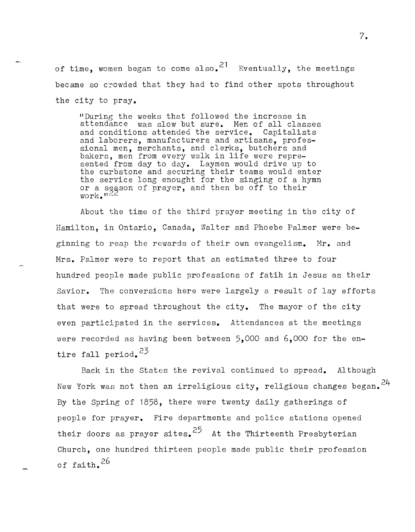of time, women began to come also.<sup>21</sup> Eventually, the meetings became so crowded that they had to find other spots throughout the city to pray.

"During the weeks that followed the increase in attendance was slow but sure. Men of all classes and conditions attended the service. Capitalists and laborers, manufacturers and artisans, professional men, merchants, and clerks, butchers and bakers, men from every walk in life were represented from day to day. Laymen would drive up to the curbstone and securing their teams would enter the service long enought for the singing of a hymn or a sgason of prayer, and then be off to their work." $^{122}$ 

About the time of the third prayer meeting in the city of Hamilton, in Ontario, Canada, Walter and Phoebe Palmer were beginning to reap the rewards of their own evangelism. **Mr.** and Mrs. Palmer were to report that an estimated three to four hundred people made public professions of fatih in Jesus as their Savior. The conversions here were largely a result of lay efforts that were to spread throughout the city. The mayor of the city even participated in the services. Attendances at the meetings were recorded as having been between 5,000 and 6,000 for the entire fall period.<sup>23</sup>

Back in the States the revival continued to spread. Although New York was not then an irreligious city, religious changes began.  $24$ By the Spring of 1858, there were twenty daily gatherings of people for prayer. Fire departments and police stations opened their doors as prayer sites. <sup>25</sup> At the Thirteenth Presbyterian Church, one hundred thirteen people made public their profession of faith.<sup>26</sup>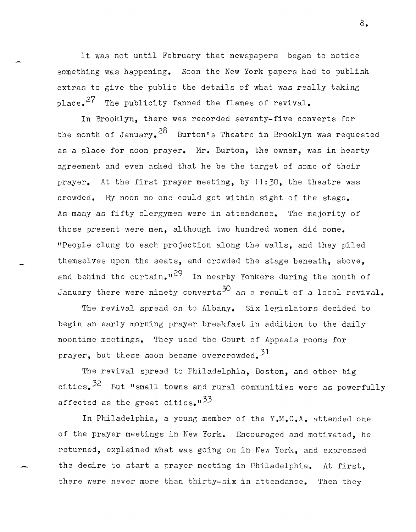It was not until February that newspapers began to notice something was happening. Soon the New York papers had to publish extras to give the public the details of what was really taking place.  $27$  The publicity fanned the flames of revival.

In Brooklyn, there was recorded seventy-five converts for the month of January.  $28$  Burton's Theatre in Brooklyn was requested as a place for noon prayer. **Hr.** Burton, the owner, was in hearty agreement and even asked that he be the target of some of their prayer. At the first prayer meeting, by 11:30, the theatre was crowded. By noon no one could get within sight of the stage. As many as fifty clergymen were in attendance. The majority of those present were men, although two hundred women did come. "People clung to each projection along the walls, and they piled themselves upon the seats, and crowded the stage beneath, above, and behind the curtain.<sup>129</sup> In nearby Yonkers during the month of January there were ninety converts<sup>30</sup> as a result of a local revival.

The revival spread on to Albany. Six legislators decided to begin an early morning prayer breakfast in addition to the daily noontime meetings. They used the Court of Appeals rooms for prayer, but these soon became overcrowded.<sup>51</sup>

The revival spread to Philadelphia, Boston, and other big cities.  $32$  But "small towns and rural communities were as powerfully affected as the great cities." $^{33}$ 

In Philadelphia, a young member of the **Y.M.C.A.** attended one of the prayer meetings in New York. Encouraged and motivated, he returned, explained what was going on in New York, and expressed the desire to start a prayer meeting in Philadelphia. At first, there were never more than thirty-six in attendance. Then they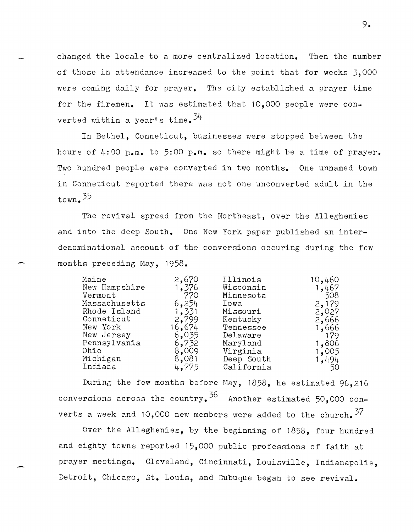changed the locale to a more centralized location. Then the number of those in attendance increased to the point that for weeks 3,000 were coming daily for prayer. The city established a prayer time for the firemen. It was estimated that 10.000 people were converted within a year's time.  $34$ 

In Bethel, Conneticut, businesses were stopped between the hours of 4:00 **p.m.** to 5:00 **p.m.** so there might be a time of prayer. Two hundred people were converted in two months. One unnamed town in Conneticut reported there was not one unconverted adult in the  $t_{\text{own}}$ , 35

The revival spread from the Northeast, over the Alleghenies and into the deep South. One New York paper published an interdenominational account of the conversions occuring during the few months preceding May, 1958.

| Maine<br>New Hampshire<br>Vermont<br>Massachusetts<br>Rhode Island<br>Conneticut<br>New York<br>New Jersey<br>Pennsylvania<br>Ohio<br>Michigan | 2,670<br>1,376<br>770<br>6,254<br>1,331<br>2,799<br>16,674<br>6,035<br>6,732<br>8,009<br>8,081 | Illinois<br>Wisconsin<br>Minnesota<br>Iowa<br>Missouri<br>Kentucky<br>Tennessee<br>Delaware<br>Maryland<br>Virginia<br>Deep South | 10,460<br>1,467<br>508<br>2,179<br>2,027<br>2,666<br>1,666<br>179<br>1,806<br>1,005<br>1,494 |
|------------------------------------------------------------------------------------------------------------------------------------------------|------------------------------------------------------------------------------------------------|-----------------------------------------------------------------------------------------------------------------------------------|----------------------------------------------------------------------------------------------|
| Indiara                                                                                                                                        | 4,775                                                                                          | California                                                                                                                        | 50                                                                                           |
|                                                                                                                                                |                                                                                                |                                                                                                                                   |                                                                                              |

During the few months before May, 1858, he estimated 96,216 conversions across the country.<sup>36</sup> Another estimated 50,000 converts a week and 10,000 new members were added to the church.  $37$ 

Over the Alleghenies, by the beginning of 1858, four hundred and eighty towns reported 15,000 public professions of faith at prayer meetings. Cleveland, Cincinnati, Louisville, Indianapolis, Detroit, Chicago, st. Louis, and Dubuque began to see revival.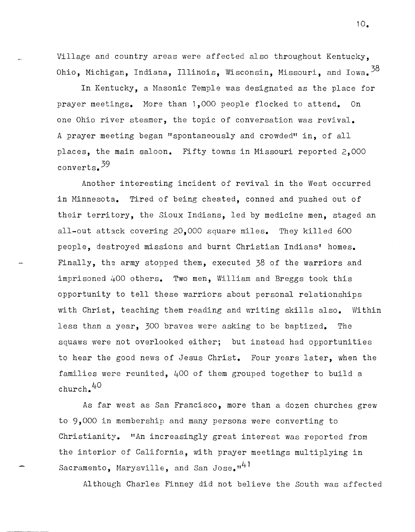Village and country areas were affected also throughout Kentucky, Ohio, Michigan, Indiana, Illinois, Wisconsin, Missouri, and Iowa.  $38$ 

In Kentucky, a Masonic Temple was designated as the place for prayer meetings. More than 1,000 people flocked to attend. On one Ohio river steamer, the topic of conversation was revival. A prayer meeting began "spontaneously and crowded" in, of all places, the main saloon. Fifty towns in Missouri reported 2,000 converts. 39

Another interesting incident of revival in the West occurred in Minnesota. Tired of being cheated, conned and pushed out of their territory, the Sioux Indians, led by medicine men, staged an all-out attack covering 20,000 square miles. They killed 600 people, destroyed missions and burnt Christian Indians' homes. Finally, the army stopped them, executed 38 of the warriors and imprisoned 400 others. Two men, William and Breggs took this opportunity to tell these warriors about personal relationships with Christ, teaching them reading and writing skills also. Within less than a year, 300 braves were asking to be baptized. The squaws were not overlooked either; but instead had opportunities to hear the good news of Jesus Christ. Four years later, when the families were reunited, 400 of them grouped together to build a church. 40

As far west as San Francisco, more than a dozen churches grew to 9,000 in membership and many persons were converting to Christianity. "An increasingly great interest was reported from the interior of California, with prayer meetings multiplying in Sacramento, Marysville, and San Jose.<sup>141</sup>

Although Charles Finney did not believe the South was affected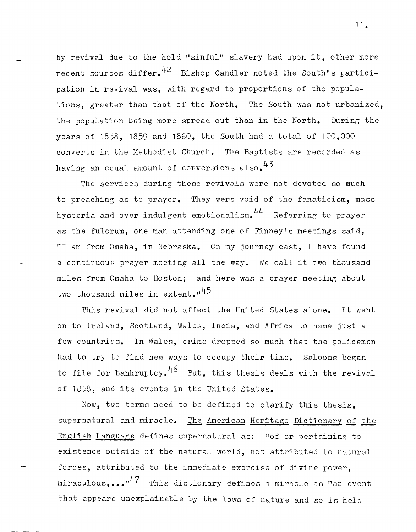by revival due to the hold "sinful" slavery had upon it, other more recent sources differ.  $42$  Bishop Candler noted the South's participation in revival was, with regard to proportions of the populations, greater than that of the North. The South was not urbanized, the population being more spread out than in the North. During the years of 1858, 1859 and 1860, the South had a total of 100,000 converts in the Methodist Church. The Baptists are recorded as having an equal amount of conversions also.  $4^3$ 

The services during these revivals were not devoted so much to preaching as to prayer. They were void of the fanaticism, mass hysteria and over indulgent emotionalism.  $44$  Referring to prayer as the fulcrum, one man attending one of Finney's meetings said, "I am from Omaha, in Nebraska. On my journey east, I have found a continuous prayer meeting all the way. We call it two thousand miles from Omaha to Boston; and here was a prayer meeting about two thousand miles in extent. $1<sup>45</sup>$ 

This revival did not affect the United States alone. It went on to Ireland, Scotland, \Vales, India, and Africa to name just a few countries. In Wales, crime dropped so much that the policemen had to try to find new ways to occupy their time. Saloons began to file for bankruptcy.<sup>46</sup> But, this thesis deals with the revival of 1858, and its events in the United States.

Now, two terms need to be defined to clarify this thesis, supernatural and miracle. The American Heritage Dictionary of the English Language defines supernatural as: "of or pertaining to existence outside of the natural world, not attributed to natural forces, attributed to the immediate exercise of divine power, miraculous,..." $47$  This dictionary defines a miracle as "an event that appears unexplainable by the laws of nature and so is held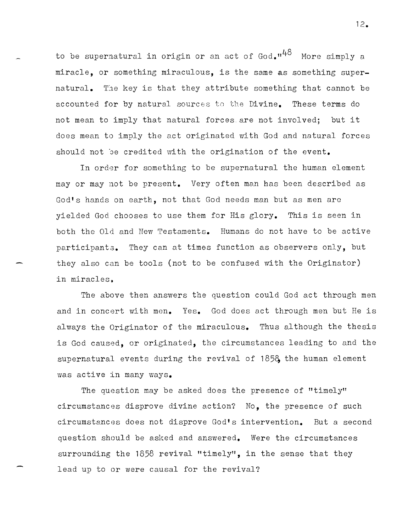to be supernatural in origin or an act of God. $1^{48}$  More simply a miracle, or something miraculous, is the same as something supernatural. The key is that they attribute something that cannot be accounted for by natural sources to the Divine. These terms do not mean to imply that natural forces are not involved; but it does mean to imply the act originated with God and natural forces should not be credited with the origination of the event.

In order for something to be supernatural the human element mayor may not be present. Very often man has been described as God's hands on earth, not that God needs man but as men are yielded God chooses to use them for His glory. This is seen in both the Old and New Testaments. Humans do not have to be active participanta. They can at times function as observers only, but they also can be tools (not to be confused with the Originator) in miracles.

The above then answers the question could God act through men and in concert with men. Yes. God does act through men but He is always the Originator of the miraculous. Thus although the thesis is God caused, or originated, the circumstances leading to and the supernatural events during the revival of 185& the human element was active in many ways.

The question may be asked does the presence of "timely" circumstances disprove divine action? No, the presence of such circumstances does not disprove God's intervention. But a second question should be asked and answered. Were the circumstances surrounding the 1858 revival "timely", in the sense that they lead up to or were causal for the revival?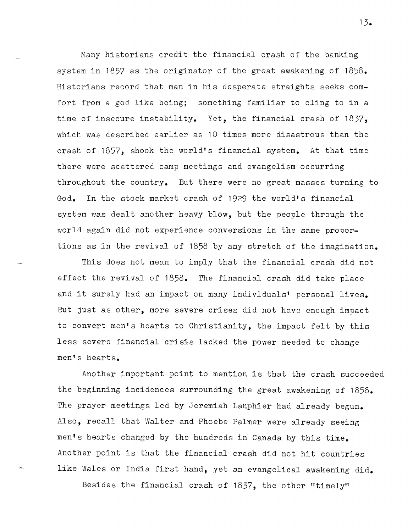Many historians credit the financial crash of the banking system in 1857 as the originator of the great awakening of 1858. Historians record that man in his desperate straights seeks comfort from a god like being; something familiar to cling to in a time of insecure instability. Yet, the financial crash of 1837, which was described earlier as 10 times more disastrous than the crash of 1857, shook the world's financial system. At that time there were scattered camp meetings and evangelism occurring throughout the country. But there were no great masses turning to God. In the stock market crash of 1929 the world's financial system was dealt another heavy blow, but the people through the world again did not experience conversions in the same proportions as in the revival of 1858 by any stretch of the imagination.

This does not mean to imply that the financial crash did not effect the revival of 1858. The financial crash did take place and it surely had an impact on many individuals' personal lives. But just as other, more severe crises did not have enough impact to convert men's hearts to Christianity, the impact felt by this less severe financial crisis lacked the power needed to change men's hearts.

Another important point to mention is that the crash succeeded the beginning incidences surrounding the great awakening of 1858. The prayer meetings led by Jeremiah Lanphier had already begun. Also, recall that Walter and Phoebe Palmer were already seeing men's hearts changed by the hundreds in Canada by this time. Another point is that the financial crash did not hit countries like Wales or India first hand, yet an evangelical awakening did.

Besides the financial crash of  $1837$ , the other "timely"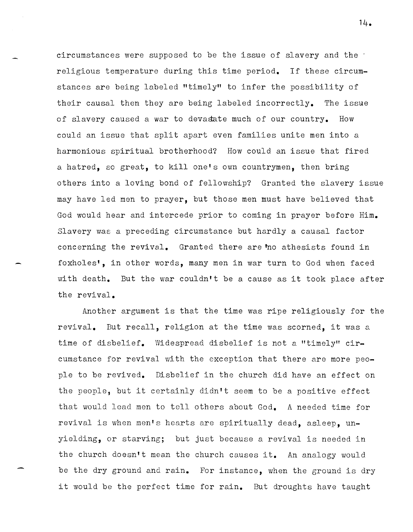circumstances were supposed to be the issue of slavery and the  $\cdot$ religious temperature during this time period. If these circumstances are being labeled "timely" to infer the possibility of their causal then they are being labeled incorrectly. The issue of slavery caused a war to devastate much of our country. How could an issue that split apart even families unite men into a harmonious spiritual brotherhood? How could an issue that fired a hatred, so great, to kill one's own countrymen, then bring others into a loving bond of fellowship? Granted the slavery issue may have led men to prayer, but those men must have believed that God would hear and intercede prior to coming in prayer before Him. Slavery was a preceding circumstance but hardly a causal factor concerning the revival. Granted there are no athesists found in foxholes', in other words, many men in war turn to God when faced with death. But the war couldn't be a cause as it took place after the revival.

Another argument is that the time was ripe religiously for the revival. But recall, religion at the time was scorned, it was a time of disbelief. Widespread disbelief is not a "timely" circumstance for revival with the exception that there are more *peo*ple to be revived. Disbelief in the church did have an effect on the people, but it certainly didn't seem to be a positive effect that would lead men to tell others about God. A needed time for revival is when men's hearts are spiritually dead, asleep, unyielding, or starving; but just because a revival is needed in the church doesn't mean the church causes it. An analogy would be the dry ground and rain. For instance, when the ground is dry it would be the perfect time for rain. But droughts have taught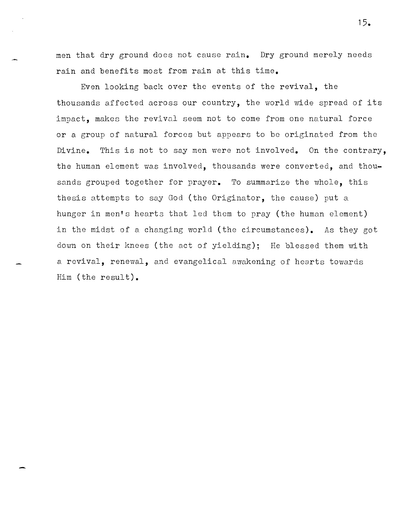men that dry ground does not cause rain. Dry ground merely needs rain and benefits most from rain at this time.

Even looking back over the events of the revival, the thousands affected across our country, the world wide spread of its impact, makes the revival seem not to come from one natural force or a group of natural forces but appears to be originated from the Divine. This is not to say men were not involved. On the contrary, the human element was involved, thousands were converted, and thousands grouped together for prayer. To summarize the whole, this thesis attempts to say God (the Originator, the cause) put a hunger in men's hearts that led them to pray (the human element) in the midst of a changing world (the circumstances). As they got down on their knees (the act of yielding); He blessed them with a revival, renewal, and evangelical awakening of hearts towards Him (the result).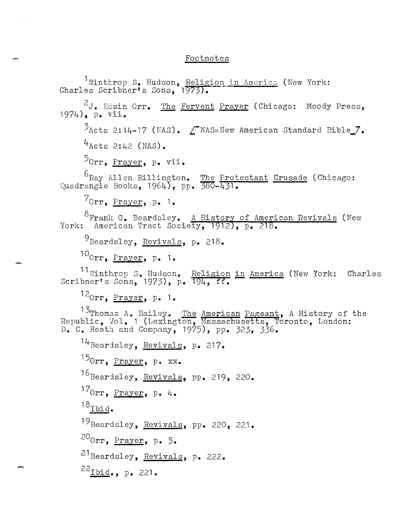## Footnotes

<sup>1</sup>Winthrop S. Hudson, Religion in America (New York: Charles Scribner's Sons, 1973).  $2J$ . Edwin Orr. The Fervent Prayer (Chicago: Moody Press, 1974), p. vii.  $\frac{5}{6}$ Acts 2:14-17 (NAS).  $\angle$ TNAS=New American Standard Bible\_7.  $4$ Acts 2:42 (NAS). 5<sub>0rr, Prayer, p. vii.</sub> <sup>6</sup>Ray Allen Billington. Quadrangle Books, 1964), pp. 70rr, Prayer, p. **1.**  The Protestant Crusade (Chicago:  $380 - 431.$ <sup>O</sup>Frank G. Beardsley. <u>A History of American Revivals</u> (New York: American Tract Society, 1912), p. 218. 9Beardsley, Revivals, p. 218. 100rr, Prayer, *p. 1.*  <sup>11</sup>Winthrop S. Hudson. Religion in America (New York: Charles Scribner's Sons, 1973), *p.* 194, ff. 12orr, Prayer, *p. 1.*  13<sub>Thomas</sub> A. Bailey. The <u>American Pageant</u>, A History of the Republic, 'Vol. 1 {Lexington, Massachusetts, Toronto, London: D. C. Heath and Company, 1975), pp. 323, 336. 14Beardsley, Revivals, p. 217. 150rr, Prayer, *p.* xx. 16Beardsley, Revivals, pp. 219, 220. 170rr, Prayer, *p. 4.*   $18$ Ibid. 19Beardsley, Revivals, *pp.* 220, 221. 200rr, Prayer, *p. 5.*  21 Beardsley, Revivals, p. 222.  $^{22}$ Ibid., p. 221.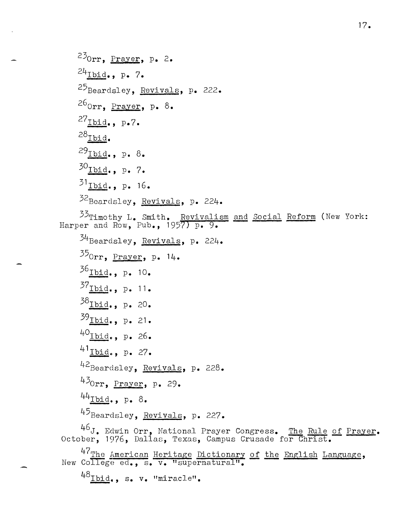230rr, Prayer, *p. 2.*  24Ibid., p. *7.*  25Beardsley, Revivals, *p. 222.*  260rr, Prayer, *p. 8.*  27<sub>Ibid.</sub>, p.7.  $^{28}$ Ibid. 29<sub>Ibid</sub>., p. 8. 30<sub>Ibid</sub>., p. 7. <sup>31</sup>**I.12i£. ,** *p.* 16. 32Beardsley, Revivals, *p. 224.*   $^{33}$ Timothy L. Smith. Revivalism and Social Reform (New York: Harper and Row, Pub., 1957) *p. 9.*   $34$ Beardsley, Revivals, p. 224. 350rr, Prayer, *p. 14.*  36<sub>Ibid</sub>., p. 10.  $37_{\underline{I} \underline{b} \underline{i} \underline{d} \underline{d} \underline{d} \underline{d}}$ , p. 11. 38<sub>Ibid.</sub>, p. 20. 39<sub>Ibid.</sub>, p. 21. 40Ibid., , *p.* 26. 41<sub>Ibid.</sub>, p. 27. 42Beardsley, Revivals, p. 228. 43<sub>0rr, Prayer, p. 29.</sub> 44Ibid." p. *8.*  45 Beardsley, Revivals, p. 227.  $^{46}J$ . Edwin Orr, National Prayer Congress. The Rule of Prayer. October, 1976, Dallas, Texas, Campus Crusade for Christ. 47<sub>The American Heritage Dictionary of the English Language,</sub> New College ed., s. v. "supernatural".  $^{48}$ Ibid., s. v. "miracle".